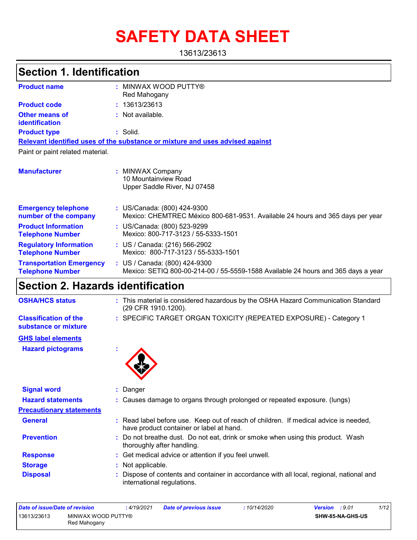# **SAFETY DATA SHEET**

13613/23613

### **Section 1. Identification**

| <b>Product name</b>                                        | MINWAX WOOD PUTTY®<br>Red Mahogany                                                                                 |
|------------------------------------------------------------|--------------------------------------------------------------------------------------------------------------------|
| <b>Product code</b>                                        | : 13613/23613                                                                                                      |
| <b>Other means of</b><br>identification                    | : Not available.                                                                                                   |
| <b>Product type</b>                                        | $:$ Solid.                                                                                                         |
|                                                            | Relevant identified uses of the substance or mixture and uses advised against                                      |
| Paint or paint related material.                           |                                                                                                                    |
| <b>Manufacturer</b>                                        | : MINWAX Company<br>10 Mountainview Road<br>Upper Saddle River, NJ 07458                                           |
| <b>Emergency telephone</b><br>number of the company        | : US/Canada: (800) 424-9300<br>Mexico: CHEMTREC México 800-681-9531. Available 24 hours and 365 days per year      |
| <b>Product Information</b><br><b>Telephone Number</b>      | : US/Canada: (800) 523-9299<br>Mexico: 800-717-3123 / 55-5333-1501                                                 |
| <b>Regulatory Information</b><br><b>Telephone Number</b>   | : US / Canada: (216) 566-2902<br>Mexico: 800-717-3123 / 55-5333-1501                                               |
| <b>Transportation Emergency</b><br><b>Telephone Number</b> | : US / Canada: (800) 424-9300<br>Mexico: SETIQ 800-00-214-00 / 55-5559-1588 Available 24 hours and 365 days a year |

### **Section 2. Hazards identification**

| <b>OSHA/HCS status</b> | : This material is considered hazardous by the OSHA Hazard Communication Standard<br>(29 CFR 1910.1200). |
|------------------------|----------------------------------------------------------------------------------------------------------|
|                        |                                                                                                          |

**Classification of the** SPECIFIC TARGET ORGAN TOXICITY (REPEATED EXPOSURE) - Category 1 **:**

#### **substance or mixture GHS label elements**

**Hazard pictograms :**



| <b>Signal word</b>              |                                                                                                                                  |
|---------------------------------|----------------------------------------------------------------------------------------------------------------------------------|
| <b>Hazard statements</b>        | : Causes damage to organs through prolonged or repeated exposure. (lungs)                                                        |
| <b>Precautionary statements</b> |                                                                                                                                  |
| <b>General</b>                  | : Read label before use. Keep out of reach of children. If medical advice is needed,<br>have product container or label at hand. |
| <b>Prevention</b>               | : Do not breathe dust. Do not eat, drink or smoke when using this product. Wash<br>thoroughly after handling.                    |
| <b>Response</b>                 | : Get medical advice or attention if you feel unwell.                                                                            |
| <b>Storage</b>                  | : Not applicable.                                                                                                                |
| <b>Disposal</b>                 | : Dispose of contents and container in accordance with all local, regional, national and<br>international regulations.           |

| Date of issue/Date of revision |                    | : 4/19/2021 | <b>Date of previous issue</b> | :10/14/2020 | <b>Version</b> : 9.01   | 1/12 |
|--------------------------------|--------------------|-------------|-------------------------------|-------------|-------------------------|------|
| 13613/23613                    | MINWAX WOOD PUTTY® |             |                               |             | <b>SHW-85-NA-GHS-US</b> |      |
|                                | Red Mahogany       |             |                               |             |                         |      |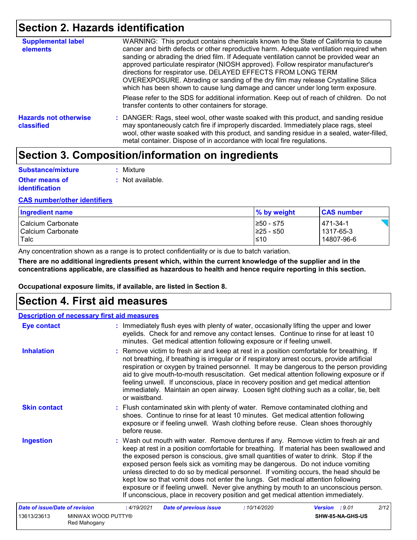### **Section 2. Hazards identification**

| <b>Supplemental label</b><br>elements      | WARNING: This product contains chemicals known to the State of California to cause<br>cancer and birth defects or other reproductive harm. Adequate ventilation required when<br>sanding or abrading the dried film. If Adequate ventilation cannot be provided wear an<br>approved particulate respirator (NIOSH approved). Follow respirator manufacturer's<br>directions for respirator use. DELAYED EFFECTS FROM LONG TERM<br>OVEREXPOSURE. Abrading or sanding of the dry film may release Crystalline Silica<br>which has been shown to cause lung damage and cancer under long term exposure. |
|--------------------------------------------|------------------------------------------------------------------------------------------------------------------------------------------------------------------------------------------------------------------------------------------------------------------------------------------------------------------------------------------------------------------------------------------------------------------------------------------------------------------------------------------------------------------------------------------------------------------------------------------------------|
|                                            | Please refer to the SDS for additional information. Keep out of reach of children. Do not<br>transfer contents to other containers for storage.                                                                                                                                                                                                                                                                                                                                                                                                                                                      |
| <b>Hazards not otherwise</b><br>classified | : DANGER: Rags, steel wool, other waste soaked with this product, and sanding residue<br>may spontaneously catch fire if improperly discarded. Immediately place rags, steel<br>wool, other waste soaked with this product, and sanding residue in a sealed, water-filled,<br>metal container. Dispose of in accordance with local fire regulations.                                                                                                                                                                                                                                                 |

### **Section 3. Composition/information on ingredients**

| Substance/mixture     | : Mixture          |
|-----------------------|--------------------|
| <b>Other means of</b> | $:$ Not available. |
| <b>identification</b> |                    |

#### **CAS number/other identifiers**

| Ingredient name     | % by weight | <b>CAS number</b> |
|---------------------|-------------|-------------------|
| I Calcium Carbonate | I≥50 - ≤75  | $ 471-34-1$       |
| l Calcium Carbonate | I≥25 - ≤50  | l 1317-65-3       |
| Talc                | $≤10$       | 14807-96-6        |

Any concentration shown as a range is to protect confidentiality or is due to batch variation.

**There are no additional ingredients present which, within the current knowledge of the supplier and in the concentrations applicable, are classified as hazardous to health and hence require reporting in this section.**

**Occupational exposure limits, if available, are listed in Section 8.**

### **Section 4. First aid measures**

|                                | <b>Description of necessary first aid measures</b>                                                                                                                                                                                                                                                                                                                                                                                                                                                                                                                                                                                                                                                                    |
|--------------------------------|-----------------------------------------------------------------------------------------------------------------------------------------------------------------------------------------------------------------------------------------------------------------------------------------------------------------------------------------------------------------------------------------------------------------------------------------------------------------------------------------------------------------------------------------------------------------------------------------------------------------------------------------------------------------------------------------------------------------------|
| <b>Eye contact</b>             | : Immediately flush eyes with plenty of water, occasionally lifting the upper and lower<br>eyelids. Check for and remove any contact lenses. Continue to rinse for at least 10<br>minutes. Get medical attention following exposure or if feeling unwell.                                                                                                                                                                                                                                                                                                                                                                                                                                                             |
| <b>Inhalation</b>              | : Remove victim to fresh air and keep at rest in a position comfortable for breathing. If<br>not breathing, if breathing is irregular or if respiratory arrest occurs, provide artificial<br>respiration or oxygen by trained personnel. It may be dangerous to the person providing<br>aid to give mouth-to-mouth resuscitation. Get medical attention following exposure or if<br>feeling unwell. If unconscious, place in recovery position and get medical attention<br>immediately. Maintain an open airway. Loosen tight clothing such as a collar, tie, belt<br>or waistband.                                                                                                                                  |
| <b>Skin contact</b>            | : Flush contaminated skin with plenty of water. Remove contaminated clothing and<br>shoes. Continue to rinse for at least 10 minutes. Get medical attention following<br>exposure or if feeling unwell. Wash clothing before reuse. Clean shoes thoroughly<br>before reuse.                                                                                                                                                                                                                                                                                                                                                                                                                                           |
| <b>Ingestion</b>               | : Wash out mouth with water. Remove dentures if any. Remove victim to fresh air and<br>keep at rest in a position comfortable for breathing. If material has been swallowed and<br>the exposed person is conscious, give small quantities of water to drink. Stop if the<br>exposed person feels sick as vomiting may be dangerous. Do not induce vomiting<br>unless directed to do so by medical personnel. If vomiting occurs, the head should be<br>kept low so that vomit does not enter the lungs. Get medical attention following<br>exposure or if feeling unwell. Never give anything by mouth to an unconscious person.<br>If unconscious, place in recovery position and get medical attention immediately. |
| Date of issue/Date of revision | :10/14/2020<br>2/12<br>: 4/19/2021<br><b>Date of previous issue</b><br>Version : 9.01                                                                                                                                                                                                                                                                                                                                                                                                                                                                                                                                                                                                                                 |
| 13613/23613                    | MINWAX WOOD PUTTY®<br>SHW-85-NA-GHS-US<br>Red Mahogany                                                                                                                                                                                                                                                                                                                                                                                                                                                                                                                                                                                                                                                                |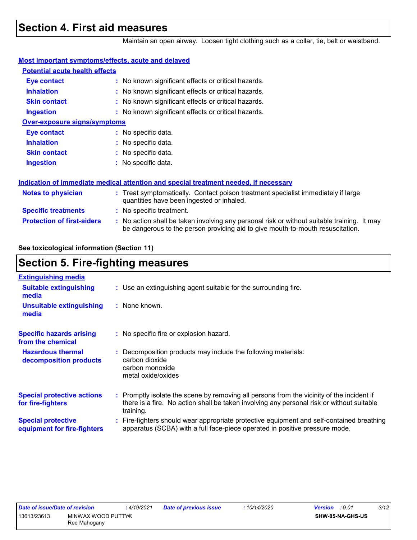### **Section 4. First aid measures**

Maintain an open airway. Loosen tight clothing such as a collar, tie, belt or waistband.

| <b>Most important symptoms/effects, acute and delayed</b> |                                                                                                                                                                               |  |
|-----------------------------------------------------------|-------------------------------------------------------------------------------------------------------------------------------------------------------------------------------|--|
| <b>Potential acute health effects</b>                     |                                                                                                                                                                               |  |
| <b>Eye contact</b>                                        | : No known significant effects or critical hazards.                                                                                                                           |  |
| <b>Inhalation</b>                                         | : No known significant effects or critical hazards.                                                                                                                           |  |
| <b>Skin contact</b>                                       | : No known significant effects or critical hazards.                                                                                                                           |  |
| <b>Ingestion</b>                                          | : No known significant effects or critical hazards.                                                                                                                           |  |
| <b>Over-exposure signs/symptoms</b>                       |                                                                                                                                                                               |  |
| <b>Eye contact</b>                                        | : No specific data.                                                                                                                                                           |  |
| <b>Inhalation</b>                                         | : No specific data.                                                                                                                                                           |  |
| <b>Skin contact</b>                                       | : No specific data.                                                                                                                                                           |  |
| <b>Ingestion</b>                                          | $:$ No specific data.                                                                                                                                                         |  |
|                                                           | Indication of immediate medical attention and special treatment needed, if necessary                                                                                          |  |
| Notes to physician                                        | : Treat symptomatically. Contact poison treatment specialist immediately if large<br>quantities have been ingested or inhaled.                                                |  |
| <b>Specific treatments</b>                                | : No specific treatment.                                                                                                                                                      |  |
| <b>Protection of first-aiders</b>                         | : No action shall be taken involving any personal risk or without suitable training. It may<br>be dangerous to the person providing aid to give mouth-to-mouth resuscitation. |  |
|                                                           |                                                                                                                                                                               |  |

**See toxicological information (Section 11)**

### **Section 5. Fire-fighting measures**

| <b>Extinguishing media</b>                               |                                                                                                                                                                                                     |
|----------------------------------------------------------|-----------------------------------------------------------------------------------------------------------------------------------------------------------------------------------------------------|
| <b>Suitable extinguishing</b><br>media                   | : Use an extinguishing agent suitable for the surrounding fire.                                                                                                                                     |
| <b>Unsuitable extinguishing</b><br>media                 | $\therefore$ None known.                                                                                                                                                                            |
| <b>Specific hazards arising</b><br>from the chemical     | : No specific fire or explosion hazard.                                                                                                                                                             |
| <b>Hazardous thermal</b><br>decomposition products       | Decomposition products may include the following materials:<br>carbon dioxide<br>carbon monoxide<br>metal oxide/oxides                                                                              |
| <b>Special protective actions</b><br>for fire-fighters   | : Promptly isolate the scene by removing all persons from the vicinity of the incident if<br>there is a fire. No action shall be taken involving any personal risk or without suitable<br>training. |
| <b>Special protective</b><br>equipment for fire-fighters | : Fire-fighters should wear appropriate protective equipment and self-contained breathing<br>apparatus (SCBA) with a full face-piece operated in positive pressure mode.                            |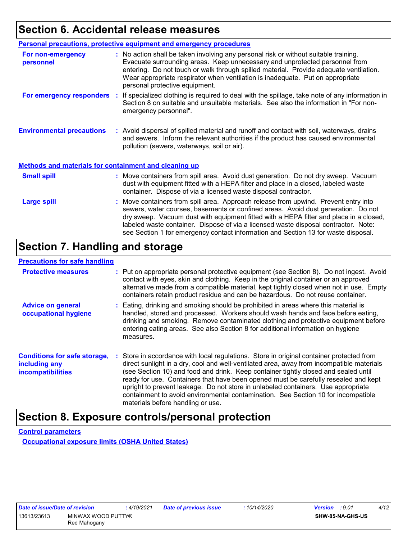### **Section 6. Accidental release measures**

|                                                       | <b>Personal precautions, protective equipment and emergency procedures</b>                                                                                                                                                                                                                                                                                                                                                                      |  |  |
|-------------------------------------------------------|-------------------------------------------------------------------------------------------------------------------------------------------------------------------------------------------------------------------------------------------------------------------------------------------------------------------------------------------------------------------------------------------------------------------------------------------------|--|--|
| For non-emergency<br>personnel                        | : No action shall be taken involving any personal risk or without suitable training.<br>Evacuate surrounding areas. Keep unnecessary and unprotected personnel from<br>entering. Do not touch or walk through spilled material. Provide adequate ventilation.<br>Wear appropriate respirator when ventilation is inadequate. Put on appropriate<br>personal protective equipment.                                                               |  |  |
| For emergency responders                              | : If specialized clothing is required to deal with the spillage, take note of any information in<br>Section 8 on suitable and unsuitable materials. See also the information in "For non-<br>emergency personnel".                                                                                                                                                                                                                              |  |  |
| <b>Environmental precautions</b>                      | : Avoid dispersal of spilled material and runoff and contact with soil, waterways, drains<br>and sewers. Inform the relevant authorities if the product has caused environmental<br>pollution (sewers, waterways, soil or air).                                                                                                                                                                                                                 |  |  |
| Methods and materials for containment and cleaning up |                                                                                                                                                                                                                                                                                                                                                                                                                                                 |  |  |
| <b>Small spill</b>                                    | : Move containers from spill area. Avoid dust generation. Do not dry sweep. Vacuum<br>dust with equipment fitted with a HEPA filter and place in a closed, labeled waste<br>container. Dispose of via a licensed waste disposal contractor.                                                                                                                                                                                                     |  |  |
| <b>Large spill</b>                                    | : Move containers from spill area. Approach release from upwind. Prevent entry into<br>sewers, water courses, basements or confined areas. Avoid dust generation. Do not<br>dry sweep. Vacuum dust with equipment fitted with a HEPA filter and place in a closed,<br>labeled waste container. Dispose of via a licensed waste disposal contractor. Note:<br>see Section 1 for emergency contact information and Section 13 for waste disposal. |  |  |

### **Section 7. Handling and storage**

#### **Precautions for safe handling**

| <b>Protective measures</b>                                                       |           | : Put on appropriate personal protective equipment (see Section 8). Do not ingest. Avoid<br>contact with eyes, skin and clothing. Keep in the original container or an approved<br>alternative made from a compatible material, kept tightly closed when not in use. Empty<br>containers retain product residue and can be hazardous. Do not reuse container.                                                                                                                                                                                                                      |
|----------------------------------------------------------------------------------|-----------|------------------------------------------------------------------------------------------------------------------------------------------------------------------------------------------------------------------------------------------------------------------------------------------------------------------------------------------------------------------------------------------------------------------------------------------------------------------------------------------------------------------------------------------------------------------------------------|
| <b>Advice on general</b><br>occupational hygiene                                 | measures. | : Eating, drinking and smoking should be prohibited in areas where this material is<br>handled, stored and processed. Workers should wash hands and face before eating,<br>drinking and smoking. Remove contaminated clothing and protective equipment before<br>entering eating areas. See also Section 8 for additional information on hygiene                                                                                                                                                                                                                                   |
| <b>Conditions for safe storage,</b><br>including any<br><b>incompatibilities</b> |           | : Store in accordance with local regulations. Store in original container protected from<br>direct sunlight in a dry, cool and well-ventilated area, away from incompatible materials<br>(see Section 10) and food and drink. Keep container tightly closed and sealed until<br>ready for use. Containers that have been opened must be carefully resealed and kept<br>upright to prevent leakage. Do not store in unlabeled containers. Use appropriate<br>containment to avoid environmental contamination. See Section 10 for incompatible<br>materials before handling or use. |

### **Section 8. Exposure controls/personal protection**

**Control parameters**

**Occupational exposure limits (OSHA United States)**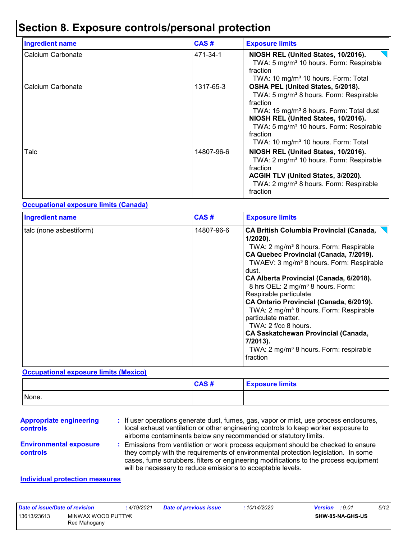## **Section 8. Exposure controls/personal protection**

| <b>Ingredient name</b> | CAS#       | <b>Exposure limits</b>                                                                                                                                                                                                                                                                                                  |
|------------------------|------------|-------------------------------------------------------------------------------------------------------------------------------------------------------------------------------------------------------------------------------------------------------------------------------------------------------------------------|
| Calcium Carbonate      | 471-34-1   | NIOSH REL (United States, 10/2016).<br>TWA: 5 mg/m <sup>3</sup> 10 hours. Form: Respirable<br>fraction<br>TWA: 10 mg/m <sup>3</sup> 10 hours. Form: Total                                                                                                                                                               |
| Calcium Carbonate      | 1317-65-3  | OSHA PEL (United States, 5/2018).<br>TWA: 5 mg/m <sup>3</sup> 8 hours. Form: Respirable<br>fraction<br>TWA: 15 mg/m <sup>3</sup> 8 hours. Form: Total dust<br>NIOSH REL (United States, 10/2016).<br>TWA: 5 mg/m <sup>3</sup> 10 hours. Form: Respirable<br>fraction<br>TWA: 10 mg/m <sup>3</sup> 10 hours. Form: Total |
| Talc                   | 14807-96-6 | NIOSH REL (United States, 10/2016).<br>TWA: 2 mg/m <sup>3</sup> 10 hours. Form: Respirable<br>fraction<br>ACGIH TLV (United States, 3/2020).<br>TWA: 2 mg/m <sup>3</sup> 8 hours. Form: Respirable<br>fraction                                                                                                          |

#### **Occupational exposure limits (Canada)**

| <b>Ingredient name</b>  | CAS#       | <b>Exposure limits</b>                                                                                                                                                                                                                                                                                                                                                                                                                                                                                                                                                                                                           |
|-------------------------|------------|----------------------------------------------------------------------------------------------------------------------------------------------------------------------------------------------------------------------------------------------------------------------------------------------------------------------------------------------------------------------------------------------------------------------------------------------------------------------------------------------------------------------------------------------------------------------------------------------------------------------------------|
| talc (none asbestiform) | 14807-96-6 | <b>CA British Columbia Provincial (Canada,</b><br>$1/2020$ ).<br>TWA: 2 mg/m <sup>3</sup> 8 hours. Form: Respirable<br>CA Quebec Provincial (Canada, 7/2019).<br>TWAEV: 3 mg/m <sup>3</sup> 8 hours. Form: Respirable<br>dust.<br>CA Alberta Provincial (Canada, 6/2018).<br>8 hrs OEL: 2 mg/m <sup>3</sup> 8 hours. Form:<br>Respirable particulate<br>CA Ontario Provincial (Canada, 6/2019).<br>TWA: 2 mg/m <sup>3</sup> 8 hours. Form: Respirable<br>particulate matter.<br>TWA: 2 f/cc 8 hours.<br><b>CA Saskatchewan Provincial (Canada,</b><br>7/2013).<br>TWA: 2 mg/m <sup>3</sup> 8 hours. Form: respirable<br>fraction |

#### **Occupational exposure limits (Mexico)**

|       | CAS# | <b>Exposure limits</b> |
|-------|------|------------------------|
| None. |      |                        |

| <b>Appropriate engineering</b><br><b>controls</b> | : If user operations generate dust, fumes, gas, vapor or mist, use process enclosures,<br>local exhaust ventilation or other engineering controls to keep worker exposure to<br>airborne contaminants below any recommended or statutory limits.                                                                                |
|---------------------------------------------------|---------------------------------------------------------------------------------------------------------------------------------------------------------------------------------------------------------------------------------------------------------------------------------------------------------------------------------|
| <b>Environmental exposure</b><br><b>controls</b>  | : Emissions from ventilation or work process equipment should be checked to ensure<br>they comply with the requirements of environmental protection legislation. In some<br>cases, fume scrubbers, filters or engineering modifications to the process equipment<br>will be necessary to reduce emissions to acceptable levels. |
| Individual protection measures                    |                                                                                                                                                                                                                                                                                                                                 |

#### **Individual protection measures**

| Date of issue/Date of revision |                                    | : 4/19/2021 | <b>Date of previous issue</b> | : 10/14/2020 | <b>Version</b> : 9.01 |                  | 5/12 |
|--------------------------------|------------------------------------|-------------|-------------------------------|--------------|-----------------------|------------------|------|
| 13613/23613                    | MINWAX WOOD PUTTY®<br>Red Mahogany |             |                               |              |                       | SHW-85-NA-GHS-US |      |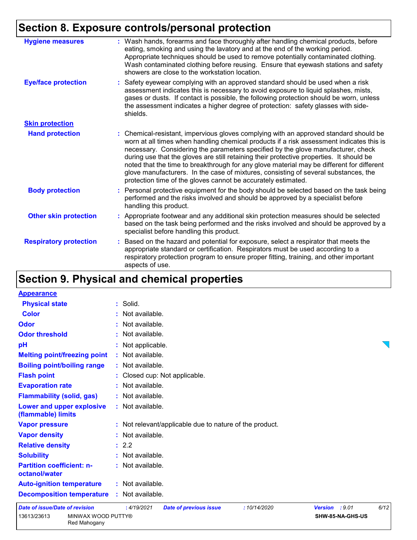## **Section 8. Exposure controls/personal protection**

| <b>Hygiene measures</b>       | : Wash hands, forearms and face thoroughly after handling chemical products, before<br>eating, smoking and using the lavatory and at the end of the working period.<br>Appropriate techniques should be used to remove potentially contaminated clothing.<br>Wash contaminated clothing before reusing. Ensure that eyewash stations and safety<br>showers are close to the workstation location.                                                                                                                                                                                                                      |
|-------------------------------|------------------------------------------------------------------------------------------------------------------------------------------------------------------------------------------------------------------------------------------------------------------------------------------------------------------------------------------------------------------------------------------------------------------------------------------------------------------------------------------------------------------------------------------------------------------------------------------------------------------------|
| <b>Eye/face protection</b>    | : Safety eyewear complying with an approved standard should be used when a risk<br>assessment indicates this is necessary to avoid exposure to liquid splashes, mists,<br>gases or dusts. If contact is possible, the following protection should be worn, unless<br>the assessment indicates a higher degree of protection: safety glasses with side-<br>shields.                                                                                                                                                                                                                                                     |
| <b>Skin protection</b>        |                                                                                                                                                                                                                                                                                                                                                                                                                                                                                                                                                                                                                        |
| <b>Hand protection</b>        | : Chemical-resistant, impervious gloves complying with an approved standard should be<br>worn at all times when handling chemical products if a risk assessment indicates this is<br>necessary. Considering the parameters specified by the glove manufacturer, check<br>during use that the gloves are still retaining their protective properties. It should be<br>noted that the time to breakthrough for any glove material may be different for different<br>glove manufacturers. In the case of mixtures, consisting of several substances, the<br>protection time of the gloves cannot be accurately estimated. |
| <b>Body protection</b>        | : Personal protective equipment for the body should be selected based on the task being<br>performed and the risks involved and should be approved by a specialist before<br>handling this product.                                                                                                                                                                                                                                                                                                                                                                                                                    |
| <b>Other skin protection</b>  | : Appropriate footwear and any additional skin protection measures should be selected<br>based on the task being performed and the risks involved and should be approved by a<br>specialist before handling this product.                                                                                                                                                                                                                                                                                                                                                                                              |
| <b>Respiratory protection</b> | Based on the hazard and potential for exposure, select a respirator that meets the<br>appropriate standard or certification. Respirators must be used according to a<br>respiratory protection program to ensure proper fitting, training, and other important<br>aspects of use.                                                                                                                                                                                                                                                                                                                                      |

## **Section 9. Physical and chemical properties**

| <b>Appearance</b>                                 |                                                                    |  |
|---------------------------------------------------|--------------------------------------------------------------------|--|
| <b>Physical state</b>                             | : Solid.                                                           |  |
| <b>Color</b>                                      | $:$ Not available.                                                 |  |
| Odor                                              | : Not available.                                                   |  |
| <b>Odor threshold</b>                             | : Not available.                                                   |  |
| pH                                                | : Not applicable.                                                  |  |
| <b>Melting point/freezing point</b>               | : Not available.                                                   |  |
| <b>Boiling point/boiling range</b>                | : Not available.                                                   |  |
| <b>Flash point</b>                                | : Closed cup: Not applicable.                                      |  |
| <b>Evaporation rate</b>                           | : Not available.                                                   |  |
| <b>Flammability (solid, gas)</b>                  | : Not available.                                                   |  |
| Lower and upper explosive<br>(flammable) limits   | : Not available.                                                   |  |
| <b>Vapor pressure</b>                             | : Not relevant/applicable due to nature of the product.            |  |
| <b>Vapor density</b>                              | : Not available.                                                   |  |
| <b>Relative density</b>                           | : 2.2                                                              |  |
| <b>Solubility</b>                                 | : Not available.                                                   |  |
| <b>Partition coefficient: n-</b><br>octanol/water | : Not available.                                                   |  |
| <b>Auto-ignition temperature</b>                  | : Not available.                                                   |  |
| <b>Decomposition temperature</b>                  | : Not available.                                                   |  |
|                                                   | $1 - 11 - 12 - 12$<br>$\sim$ $\sim$ $\sim$<br>$\sim$ $\sim$ $\sim$ |  |

| Date of issue/Date of revision |                                    | 4/19/2021 | Date of previous issue | 10/14/2020 | <b>Version</b> : 9.01   | 6/12 |  |
|--------------------------------|------------------------------------|-----------|------------------------|------------|-------------------------|------|--|
| 13613/23613                    | MINWAX WOOD PUTTY®<br>Red Mahogany |           |                        |            | <b>SHW-85-NA-GHS-US</b> |      |  |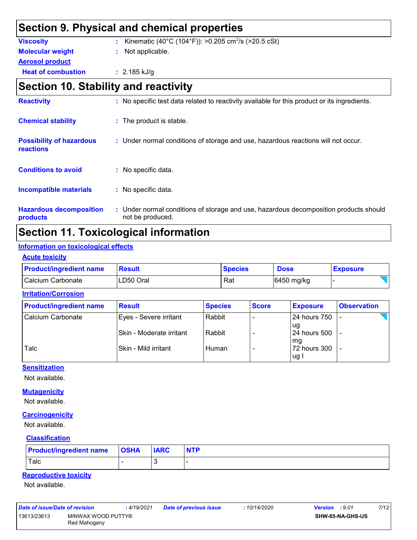### **Section 9. Physical and chemical properties**

| <b>Viscosity</b>          | : Kinematic (40°C (104°F)): >0.205 cm <sup>2</sup> /s (>20.5 cSt) |  |
|---------------------------|-------------------------------------------------------------------|--|
| <b>Molecular weight</b>   | : Not applicable.                                                 |  |
| <b>Aerosol product</b>    |                                                                   |  |
| <b>Heat of combustion</b> | $: 2.185$ kJ/g                                                    |  |
|                           |                                                                   |  |

### **Section 10. Stability and reactivity**

| <b>Reactivity</b>                            | : No specific test data related to reactivity available for this product or its ingredients.              |
|----------------------------------------------|-----------------------------------------------------------------------------------------------------------|
| <b>Chemical stability</b>                    | : The product is stable.                                                                                  |
| <b>Possibility of hazardous</b><br>reactions | : Under normal conditions of storage and use, hazardous reactions will not occur.                         |
| <b>Conditions to avoid</b>                   | : No specific data.                                                                                       |
| <b>Incompatible materials</b>                | : No specific data.                                                                                       |
| <b>Hazardous decomposition</b><br>products   | : Under normal conditions of storage and use, hazardous decomposition products should<br>not be produced. |

### **Section 11. Toxicological information**

#### **Information on toxicological effects**

**Acute toxicity**

| <b>Product/ingredient name</b> | <b>Result</b> | <b>Species</b> | <b>Dose</b> | <b>Exposure</b> |
|--------------------------------|---------------|----------------|-------------|-----------------|
| Calcium Carbonate              | LD50 Oral     | Rat            | 6450 mg/kg  |                 |

#### **Irritation/Corrosion**

| <b>Product/ingredient name</b> | <b>Result</b>            | <b>Species</b> | <b>Score</b> | <b>Exposure</b>        | <b>Observation</b> |
|--------------------------------|--------------------------|----------------|--------------|------------------------|--------------------|
| Calcium Carbonate              | Eyes - Severe irritant   | Rabbit         |              | l 24 hours 750         |                    |
|                                | Skin - Moderate irritant | Rabbit         |              | l ug<br>l 24 hours 500 |                    |
| Talc                           | Skin - Mild irritant     | Human          |              | l ma<br>72 hours 300   |                    |
|                                |                          |                |              | ug l                   |                    |

#### **Sensitization**

Not available.

#### **Mutagenicity**

Not available.

#### **Carcinogenicity**

Not available.

#### **Classification**

| <b>Product/ingredient name OSHA</b> | <b>IARC</b> | <b>NTP</b> |
|-------------------------------------|-------------|------------|
| <b>Talc</b>                         |             |            |

#### **Reproductive toxicity**

Not available.

| Date of issue/Date of revision |                                    | : 4/19/2021 | Date of previous issue | : 10/14/2020 | <b>Version</b> : 9.01 | 7/12 |
|--------------------------------|------------------------------------|-------------|------------------------|--------------|-----------------------|------|
| 13613/23613                    | MINWAX WOOD PUTTY®<br>Red Mahogany |             |                        |              | SHW-85-NA-GHS-US      |      |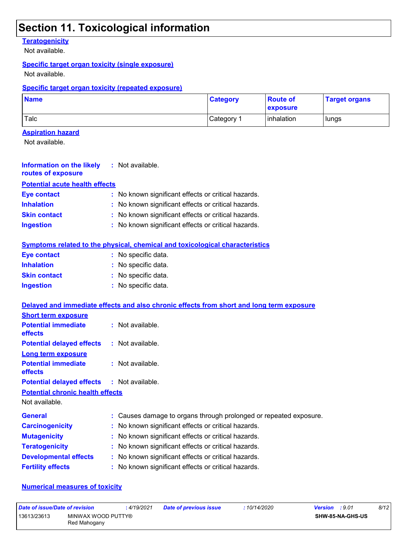### **Section 11. Toxicological information**

#### **Teratogenicity**

Not available.

#### **Specific target organ toxicity (single exposure)**

Not available.

#### **Specific target organ toxicity (repeated exposure)**

| <b>Name</b> | <b>Category</b>       | <b>Route of</b><br><b>exposure</b> | <b>Target organs</b> |
|-------------|-----------------------|------------------------------------|----------------------|
| Talc        | Category <sup>1</sup> | inhalation                         | lungs                |

#### **Aspiration hazard**

Not available.

| Information on the likely<br>routes of exposure | : Not available.                                    |
|-------------------------------------------------|-----------------------------------------------------|
| <b>Potential acute health effects</b>           |                                                     |
| <b>Eye contact</b>                              | : No known significant effects or critical hazards. |
| <b>Inhalation</b>                               | : No known significant effects or critical hazards. |
| <b>Skin contact</b>                             | : No known significant effects or critical hazards. |
| <b>Ingestion</b>                                | : No known significant effects or critical hazards. |

#### **Symptoms related to the physical, chemical and toxicological characteristics**

| <b>Eye contact</b>  | : No specific data. |
|---------------------|---------------------|
| <b>Inhalation</b>   | : No specific data. |
| <b>Skin contact</b> | : No specific data. |
| <b>Ingestion</b>    | : No specific data. |

|                                                   | Delayed and immediate effects and also chronic effects from short and long term exposure |
|---------------------------------------------------|------------------------------------------------------------------------------------------|
| <b>Short term exposure</b>                        |                                                                                          |
| <b>Potential immediate</b><br><b>effects</b>      | $:$ Not available.                                                                       |
| <b>Potential delayed effects</b>                  | : Not available.                                                                         |
| <b>Long term exposure</b>                         |                                                                                          |
| <b>Potential immediate</b><br><b>effects</b>      | $:$ Not available.                                                                       |
| <b>Potential delayed effects : Not available.</b> |                                                                                          |
| <b>Potential chronic health effects</b>           |                                                                                          |
| Not available.                                    |                                                                                          |
| <b>General</b>                                    | : Causes damage to organs through prolonged or repeated exposure.                        |
| <b>Carcinogenicity</b>                            | : No known significant effects or critical hazards.                                      |
| <b>Mutagenicity</b>                               | : No known significant effects or critical hazards.                                      |
| <b>Teratogenicity</b>                             | : No known significant effects or critical hazards.                                      |
| <b>Developmental effects</b>                      | : No known significant effects or critical hazards.                                      |
| <b>Fertility effects</b>                          | : No known significant effects or critical hazards.                                      |

#### **Numerical measures of toxicity**

| Date of issue/Date of revision |                                    | : 4/19/2021 | <b>Date of previous issue</b> | : 10/14/2020 | <b>Version</b> : 9.01   | 8/12 |
|--------------------------------|------------------------------------|-------------|-------------------------------|--------------|-------------------------|------|
| 13613/23613                    | MINWAX WOOD PUTTY®<br>Red Mahogany |             |                               |              | <b>SHW-85-NA-GHS-US</b> |      |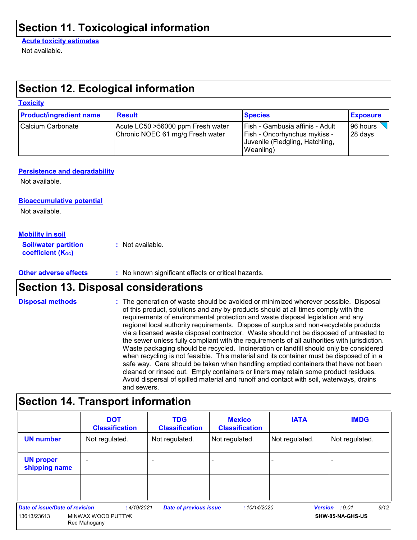### **Section 11. Toxicological information**

#### **Acute toxicity estimates**

Not available.

**Toxicity**

### **Section 12. Ecological information**

| <b>Product/ingredient name</b> | <b>Result</b>                                                          | <b>Species</b>                                                                                                  | <b>Exposure</b>      |
|--------------------------------|------------------------------------------------------------------------|-----------------------------------------------------------------------------------------------------------------|----------------------|
| Calcium Carbonate              | Acute LC50 > 56000 ppm Fresh water<br>Chronic NOEC 61 mg/g Fresh water | Fish - Gambusia affinis - Adult<br>Fish - Oncorhynchus mykiss -<br>Juvenile (Fledgling, Hatchling,<br>Weanling) | 196 hours<br>28 days |

#### **Persistence and degradability**

Not available.

#### **Bioaccumulative potential**

Not available.

#### **Mobility in soil**

| <b>Soil/water partition</b> | : Not available. |
|-----------------------------|------------------|
| <b>coefficient (Koc)</b>    |                  |

#### **Other adverse effects** : No known significant effects or critical hazards.

### **Section 13. Disposal considerations**

The generation of waste should be avoided or minimized wherever possible. Disposal of this product, solutions and any by-products should at all times comply with the requirements of environmental protection and waste disposal legislation and any regional local authority requirements. Dispose of surplus and non-recyclable products via a licensed waste disposal contractor. Waste should not be disposed of untreated to the sewer unless fully compliant with the requirements of all authorities with jurisdiction. Waste packaging should be recycled. Incineration or landfill should only be considered when recycling is not feasible. This material and its container must be disposed of in a safe way. Care should be taken when handling emptied containers that have not been cleaned or rinsed out. Empty containers or liners may retain some product residues. Avoid dispersal of spilled material and runoff and contact with soil, waterways, drains and sewers. **Disposal methods :**

### **Section 14. Transport information**

|                                       | <b>DOT</b><br><b>Classification</b> | <b>TDG</b><br><b>Classification</b> | <b>Mexico</b><br><b>Classification</b> | <b>IATA</b>    | <b>IMDG</b>            |
|---------------------------------------|-------------------------------------|-------------------------------------|----------------------------------------|----------------|------------------------|
| <b>UN number</b>                      | Not regulated.                      | Not regulated.                      | Not regulated.                         | Not regulated. | Not regulated.         |
| <b>UN proper</b><br>shipping name     |                                     |                                     |                                        |                |                        |
|                                       |                                     |                                     |                                        |                |                        |
| <b>Date of issue/Date of revision</b> | :4/19/2021                          | <b>Date of previous issue</b>       | :10/14/2020                            |                | 9/12<br>Version : 9.01 |
| 13613/23613                           | MINWAX WOOD PUTTY®<br>Red Mahogany  |                                     |                                        |                | SHW-85-NA-GHS-US       |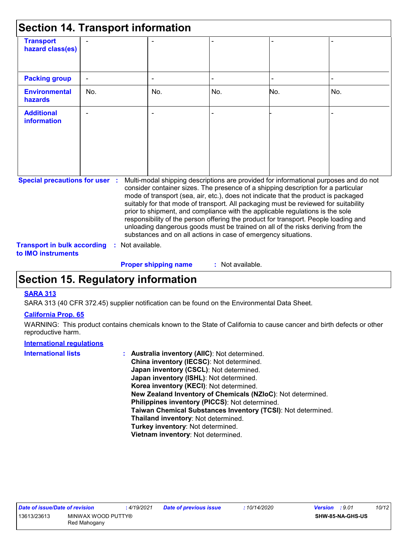| <b>Section 14. Transport information</b>                                    |     |                |                             |                                                                |                                                                                                                                                                                                                                                                                                                                                                                                                                                                                                                                                                                                                   |     |
|-----------------------------------------------------------------------------|-----|----------------|-----------------------------|----------------------------------------------------------------|-------------------------------------------------------------------------------------------------------------------------------------------------------------------------------------------------------------------------------------------------------------------------------------------------------------------------------------------------------------------------------------------------------------------------------------------------------------------------------------------------------------------------------------------------------------------------------------------------------------------|-----|
| <b>Transport</b><br>hazard class(es)                                        |     |                |                             |                                                                |                                                                                                                                                                                                                                                                                                                                                                                                                                                                                                                                                                                                                   |     |
| <b>Packing group</b>                                                        |     |                |                             |                                                                |                                                                                                                                                                                                                                                                                                                                                                                                                                                                                                                                                                                                                   |     |
| <b>Environmental</b><br>hazards                                             | No. |                | No.                         | No.                                                            | No.                                                                                                                                                                                                                                                                                                                                                                                                                                                                                                                                                                                                               | No. |
| <b>Additional</b><br><b>information</b>                                     |     |                |                             |                                                                |                                                                                                                                                                                                                                                                                                                                                                                                                                                                                                                                                                                                                   |     |
| <b>Special precautions for user :</b><br><b>Transport in bulk according</b> | ÷.  | Not available. |                             | substances and on all actions in case of emergency situations. | Multi-modal shipping descriptions are provided for informational purposes and do not<br>consider container sizes. The presence of a shipping description for a particular<br>mode of transport (sea, air, etc.), does not indicate that the product is packaged<br>suitably for that mode of transport. All packaging must be reviewed for suitability<br>prior to shipment, and compliance with the applicable regulations is the sole<br>responsibility of the person offering the product for transport. People loading and<br>unloading dangerous goods must be trained on all of the risks deriving from the |     |
| to <b>IMO</b> instruments                                                   |     |                | <b>Proper shipping name</b> | : Not available.                                               |                                                                                                                                                                                                                                                                                                                                                                                                                                                                                                                                                                                                                   |     |

### **Section 15. Regulatory information**

#### **SARA 313**

SARA 313 (40 CFR 372.45) supplier notification can be found on the Environmental Data Sheet.

#### **California Prop. 65**

WARNING: This product contains chemicals known to the State of California to cause cancer and birth defects or other reproductive harm.

#### **International regulations**

| <b>International lists</b> | Australia inventory (AIIC): Not determined.                  |
|----------------------------|--------------------------------------------------------------|
|                            |                                                              |
|                            | China inventory (IECSC): Not determined.                     |
|                            | Japan inventory (CSCL): Not determined.                      |
|                            | Japan inventory (ISHL): Not determined.                      |
|                            | Korea inventory (KECI): Not determined.                      |
|                            | New Zealand Inventory of Chemicals (NZIoC): Not determined.  |
|                            | Philippines inventory (PICCS): Not determined.               |
|                            | Taiwan Chemical Substances Inventory (TCSI): Not determined. |
|                            | Thailand inventory: Not determined.                          |
|                            | Turkey inventory: Not determined.                            |
|                            | Vietnam inventory: Not determined.                           |
|                            |                                                              |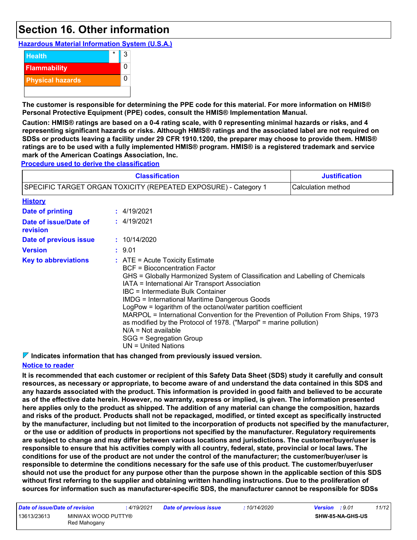### **Section 16. Other information**

**Hazardous Material Information System (U.S.A.)**



**The customer is responsible for determining the PPE code for this material. For more information on HMIS® Personal Protective Equipment (PPE) codes, consult the HMIS® Implementation Manual.**

**Caution: HMIS® ratings are based on a 0-4 rating scale, with 0 representing minimal hazards or risks, and 4 representing significant hazards or risks. Although HMIS® ratings and the associated label are not required on SDSs or products leaving a facility under 29 CFR 1910.1200, the preparer may choose to provide them. HMIS® ratings are to be used with a fully implemented HMIS® program. HMIS® is a registered trademark and service mark of the American Coatings Association, Inc.**

**Procedure used to derive the classification**

|                                                                 | <b>Justification</b><br>Calculation method                                                                                                                                                                                                                                                                                                                                                                                                                                                                                                                                                                                   |  |  |  |  |  |
|-----------------------------------------------------------------|------------------------------------------------------------------------------------------------------------------------------------------------------------------------------------------------------------------------------------------------------------------------------------------------------------------------------------------------------------------------------------------------------------------------------------------------------------------------------------------------------------------------------------------------------------------------------------------------------------------------------|--|--|--|--|--|
| SPECIFIC TARGET ORGAN TOXICITY (REPEATED EXPOSURE) - Category 1 |                                                                                                                                                                                                                                                                                                                                                                                                                                                                                                                                                                                                                              |  |  |  |  |  |
| <b>History</b>                                                  |                                                                                                                                                                                                                                                                                                                                                                                                                                                                                                                                                                                                                              |  |  |  |  |  |
| <b>Date of printing</b>                                         | : 4/19/2021                                                                                                                                                                                                                                                                                                                                                                                                                                                                                                                                                                                                                  |  |  |  |  |  |
| Date of issue/Date of<br>revision                               | : 4/19/2021                                                                                                                                                                                                                                                                                                                                                                                                                                                                                                                                                                                                                  |  |  |  |  |  |
| Date of previous issue                                          | : 10/14/2020                                                                                                                                                                                                                                                                                                                                                                                                                                                                                                                                                                                                                 |  |  |  |  |  |
| <b>Version</b>                                                  | : 9.01                                                                                                                                                                                                                                                                                                                                                                                                                                                                                                                                                                                                                       |  |  |  |  |  |
| <b>Key to abbreviations</b>                                     | $\therefore$ ATE = Acute Toxicity Estimate<br><b>BCF</b> = Bioconcentration Factor<br>GHS = Globally Harmonized System of Classification and Labelling of Chemicals<br>IATA = International Air Transport Association<br>IBC = Intermediate Bulk Container<br><b>IMDG = International Maritime Dangerous Goods</b><br>LogPow = logarithm of the octanol/water partition coefficient<br>MARPOL = International Convention for the Prevention of Pollution From Ships, 1973<br>as modified by the Protocol of 1978. ("Marpol" = marine pollution)<br>$N/A = Not available$<br>SGG = Segregation Group<br>$UN = United Nations$ |  |  |  |  |  |

**Indicates information that has changed from previously issued version.**

#### **Notice to reader**

**It is recommended that each customer or recipient of this Safety Data Sheet (SDS) study it carefully and consult resources, as necessary or appropriate, to become aware of and understand the data contained in this SDS and any hazards associated with the product. This information is provided in good faith and believed to be accurate as of the effective date herein. However, no warranty, express or implied, is given. The information presented here applies only to the product as shipped. The addition of any material can change the composition, hazards and risks of the product. Products shall not be repackaged, modified, or tinted except as specifically instructed by the manufacturer, including but not limited to the incorporation of products not specified by the manufacturer, or the use or addition of products in proportions not specified by the manufacturer. Regulatory requirements are subject to change and may differ between various locations and jurisdictions. The customer/buyer/user is responsible to ensure that his activities comply with all country, federal, state, provincial or local laws. The conditions for use of the product are not under the control of the manufacturer; the customer/buyer/user is responsible to determine the conditions necessary for the safe use of this product. The customer/buyer/user should not use the product for any purpose other than the purpose shown in the applicable section of this SDS without first referring to the supplier and obtaining written handling instructions. Due to the proliferation of sources for information such as manufacturer-specific SDS, the manufacturer cannot be responsible for SDSs** 

| Date of issue/Date of revision |                                    | 4/19/2021 | <b>Date of previous issue</b> | : 10/14/2020 | <b>Version</b> : 9.01   |  | 11/12 |
|--------------------------------|------------------------------------|-----------|-------------------------------|--------------|-------------------------|--|-------|
| 13613/23613                    | MINWAX WOOD PUTTY®<br>Red Mahogany |           |                               |              | <b>SHW-85-NA-GHS-US</b> |  |       |